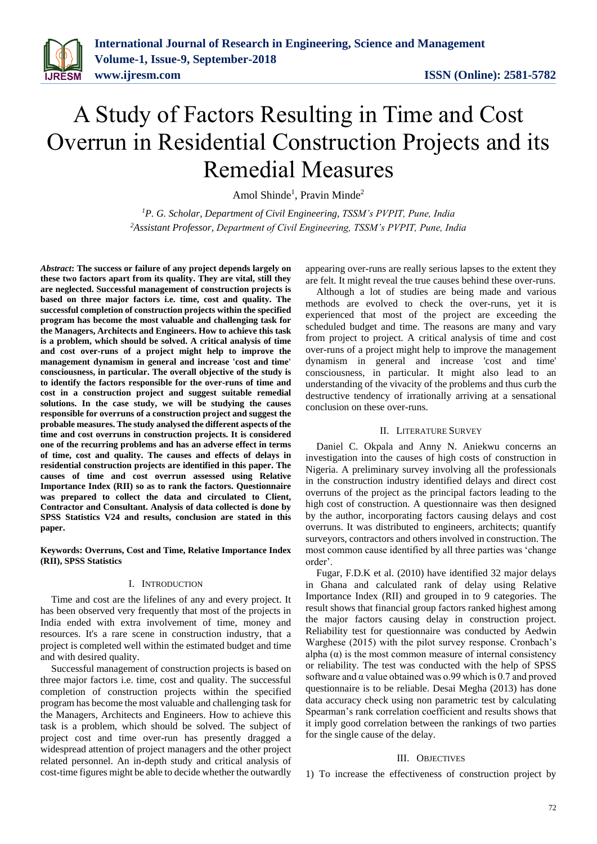

# A Study of Factors Resulting in Time and Cost Overrun in Residential Construction Projects and its Remedial Measures

Amol Shinde<sup>1</sup>, Pravin Minde<sup>2</sup>

*<sup>1</sup>P. G. Scholar, Department of Civil Engineering, TSSM's PVPIT, Pune, India <sup>2</sup>Assistant Professor, Department of Civil Engineering, TSSM's PVPIT, Pune, India*

*Abstract***: The success or failure of any project depends largely on these two factors apart from its quality. They are vital, still they are neglected. Successful management of construction projects is based on three major factors i.e. time, cost and quality. The successful completion of construction projects within the specified program has become the most valuable and challenging task for the Managers, Architects and Engineers. How to achieve this task is a problem, which should be solved. A critical analysis of time and cost over-runs of a project might help to improve the management dynamism in general and increase 'cost and time' consciousness, in particular. The overall objective of the study is to identify the factors responsible for the over-runs of time and cost in a construction project and suggest suitable remedial solutions. In the case study, we will be studying the causes responsible for overruns of a construction project and suggest the probable measures. The study analysed the different aspects of the time and cost overruns in construction projects. It is considered one of the recurring problems and has an adverse effect in terms of time, cost and quality. The causes and effects of delays in residential construction projects are identified in this paper. The causes of time and cost overrun assessed using Relative Importance Index (RII) so as to rank the factors. Questionnaire was prepared to collect the data and circulated to Client, Contractor and Consultant. Analysis of data collected is done by SPSS Statistics V24 and results, conclusion are stated in this paper.**

#### **Keywords: Overruns, Cost and Time, Relative Importance Index (RII), SPSS Statistics**

#### I. INTRODUCTION

Time and cost are the lifelines of any and every project. It has been observed very frequently that most of the projects in India ended with extra involvement of time, money and resources. It's a rare scene in construction industry, that a project is completed well within the estimated budget and time and with desired quality.

Successful management of construction projects is based on three major factors i.e. time, cost and quality. The successful completion of construction projects within the specified program has become the most valuable and challenging task for the Managers, Architects and Engineers. How to achieve this task is a problem, which should be solved. The subject of project cost and time over-run has presently dragged a widespread attention of project managers and the other project related personnel. An in-depth study and critical analysis of cost-time figures might be able to decide whether the outwardly appearing over-runs are really serious lapses to the extent they are felt. It might reveal the true causes behind these over-runs.

Although a lot of studies are being made and various methods are evolved to check the over-runs, yet it is experienced that most of the project are exceeding the scheduled budget and time. The reasons are many and vary from project to project. A critical analysis of time and cost over-runs of a project might help to improve the management dynamism in general and increase 'cost and time' consciousness, in particular. It might also lead to an understanding of the vivacity of the problems and thus curb the destructive tendency of irrationally arriving at a sensational conclusion on these over-runs.

## II. LITERATURE SURVEY

Daniel C. Okpala and Anny N. Aniekwu concerns an investigation into the causes of high costs of construction in Nigeria. A preliminary survey involving all the professionals in the construction industry identified delays and direct cost overruns of the project as the principal factors leading to the high cost of construction. A questionnaire was then designed by the author, incorporating factors causing delays and cost overruns. It was distributed to engineers, architects; quantify surveyors, contractors and others involved in construction. The most common cause identified by all three parties was 'change order'.

Fugar, F.D.K et al. (2010) have identified 32 major delays in Ghana and calculated rank of delay using Relative Importance Index (RII) and grouped in to 9 categories. The result shows that financial group factors ranked highest among the major factors causing delay in construction project. Reliability test for questionnaire was conducted by Aedwin Warghese (2015) with the pilot survey response. Cronbach's alpha  $(\alpha)$  is the most common measure of internal consistency or reliability. The test was conducted with the help of SPSS software and  $\alpha$  value obtained was 0.99 which is 0.7 and proved questionnaire is to be reliable. Desai Megha (2013) has done data accuracy check using non parametric test by calculating Spearman's rank correlation coefficient and results shows that it imply good correlation between the rankings of two parties for the single cause of the delay.

#### III. OBJECTIVES

1) To increase the effectiveness of construction project by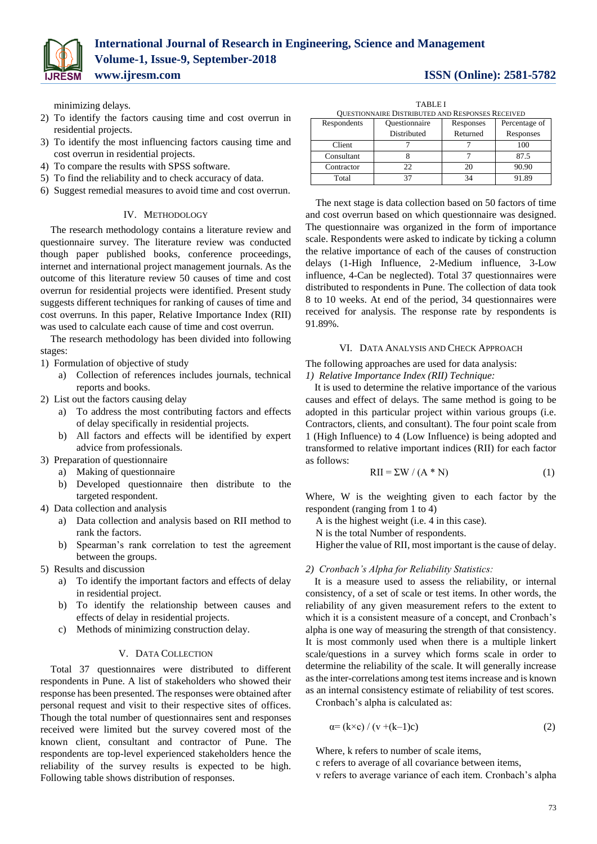minimizing delays.

- 2) To identify the factors causing time and cost overrun in residential projects.
- 3) To identify the most influencing factors causing time and cost overrun in residential projects.
- 4) To compare the results with SPSS software.
- 5) To find the reliability and to check accuracy of data.
- 6) Suggest remedial measures to avoid time and cost overrun.

# IV. METHODOLOGY

The research methodology contains a literature review and questionnaire survey. The literature review was conducted though paper published books, conference proceedings, internet and international project management journals. As the outcome of this literature review 50 causes of time and cost overrun for residential projects were identified. Present study suggests different techniques for ranking of causes of time and cost overruns. In this paper, Relative Importance Index (RII) was used to calculate each cause of time and cost overrun.

The research methodology has been divided into following stages:

- 1) Formulation of objective of study
	- a) Collection of references includes journals, technical reports and books.
- 2) List out the factors causing delay
	- a) To address the most contributing factors and effects of delay specifically in residential projects.
	- b) All factors and effects will be identified by expert advice from professionals.
- 3) Preparation of questionnaire
	- a) Making of questionnaire
		- b) Developed questionnaire then distribute to the targeted respondent.
- 4) Data collection and analysis
	- a) Data collection and analysis based on RII method to rank the factors.
	- b) Spearman's rank correlation to test the agreement between the groups.
- 5) Results and discussion
	- a) To identify the important factors and effects of delay in residential project.
	- b) To identify the relationship between causes and effects of delay in residential projects.
	- c) Methods of minimizing construction delay.

# V. DATA COLLECTION

Total 37 questionnaires were distributed to different respondents in Pune. A list of stakeholders who showed their response has been presented. The responses were obtained after personal request and visit to their respective sites of offices. Though the total number of questionnaires sent and responses received were limited but the survey covered most of the known client, consultant and contractor of Pune. The respondents are top-level experienced stakeholders hence the reliability of the survey results is expected to be high. Following table shows distribution of responses.

| <b>TABLEI</b><br>QUESTIONNAIRE DISTRIBUTED AND RESPONSES RECEIVED |               |           |               |  |  |  |  |
|-------------------------------------------------------------------|---------------|-----------|---------------|--|--|--|--|
| Respondents                                                       | Questionnaire | Responses | Percentage of |  |  |  |  |
|                                                                   | Distributed   | Returned  | Responses     |  |  |  |  |
| Client                                                            |               |           | 100           |  |  |  |  |
| Consultant                                                        |               |           | 87.5          |  |  |  |  |
| Contractor                                                        | つつ            |           |               |  |  |  |  |

Total 37 | 34 | 91.89

The next stage is data collection based on 50 factors of time and cost overrun based on which questionnaire was designed. The questionnaire was organized in the form of importance scale. Respondents were asked to indicate by ticking a column the relative importance of each of the causes of construction delays (1-High Influence, 2-Medium influence, 3-Low influence, 4-Can be neglected). Total 37 questionnaires were distributed to respondents in Pune. The collection of data took 8 to 10 weeks. At end of the period, 34 questionnaires were received for analysis. The response rate by respondents is 91.89%.

# VI. DATA ANALYSIS AND CHECK APPROACH

The following approaches are used for data analysis: *1) Relative Importance Index (RII) Technique:* 

It is used to determine the relative importance of the various causes and effect of delays. The same method is going to be adopted in this particular project within various groups (i.e. Contractors, clients, and consultant). The four point scale from 1 (High Influence) to 4 (Low Influence) is being adopted and transformed to relative important indices (RII) for each factor as follows:

$$
RII = \Sigma W / (A * N)
$$
 (1)

Where, W is the weighting given to each factor by the respondent (ranging from 1 to 4)

A is the highest weight (i.e. 4 in this case).

N is the total Number of respondents.

Higher the value of RII, most important is the cause of delay.

# *2) Cronbach's Alpha for Reliability Statistics:*

It is a measure used to assess the reliability, or internal consistency, of a set of scale or test items. In other words, the reliability of any given measurement refers to the extent to which it is a consistent measure of a concept, and Cronbach's alpha is one way of measuring the strength of that consistency. It is most commonly used when there is a multiple linkert scale/questions in a survey which forms scale in order to determine the reliability of the scale. It will generally increase as the inter-correlations among test items increase and is known as an internal consistency estimate of reliability of test scores.

Cronbach's alpha is calculated as:

$$
\alpha = (k \times c) / (v + (k-1)c) \tag{2}
$$

Where, k refers to number of scale items,

c refers to average of all covariance between items,

v refers to average variance of each item. Cronbach's alpha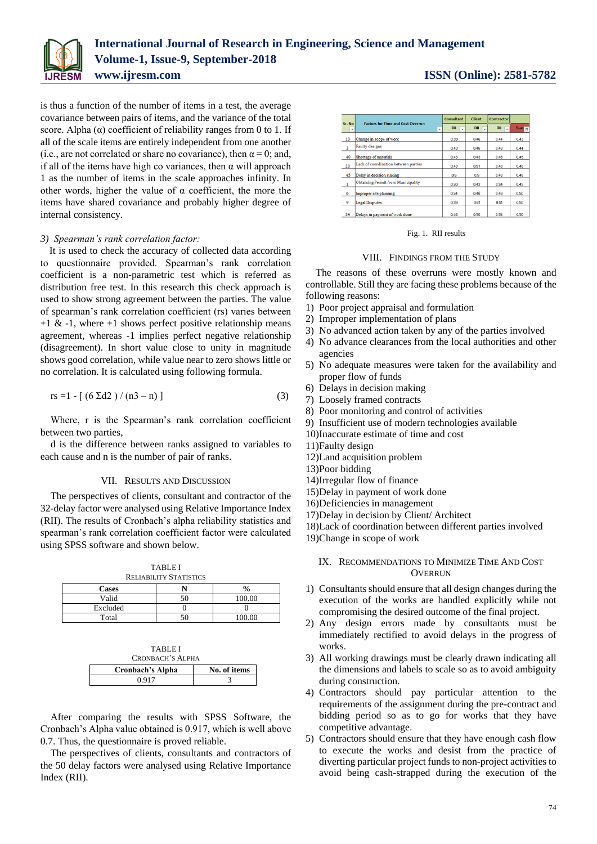

is thus a function of the number of items in a test, the average covariance between pairs of items, and the variance of the total score. Alpha  $(\alpha)$  coefficient of reliability ranges from 0 to 1. If all of the scale items are entirely independent from one another (i.e., are not correlated or share no covariance), then  $\alpha = 0$ ; and, if all of the items have high co variances, then  $\alpha$  will approach 1 as the number of items in the scale approaches infinity. In other words, higher the value of  $\alpha$  coefficient, the more the items have shared covariance and probably higher degree of internal consistency.

## *3) Spearman's rank correlation factor:*

It is used to check the accuracy of collected data according to questionnaire provided. Spearman's rank correlation coefficient is a non-parametric test which is referred as distribution free test. In this research this check approach is used to show strong agreement between the parties. The value of spearman's rank correlation coefficient (rs) varies between  $+1$  &  $-1$ , where  $+1$  shows perfect positive relationship means agreement, whereas -1 implies perfect negative relationship (disagreement). In short value close to unity in magnitude shows good correlation, while value near to zero shows little or no correlation. It is calculated using following formula.

$$
rs = 1 - [(6 \Sigma d2) / (n3 - n)] \tag{3}
$$

Where, r is the Spearman's rank correlation coefficient between two parties,

d is the difference between ranks assigned to variables to each cause and n is the number of pair of ranks.

#### VII. RESULTS AND DISCUSSION

The perspectives of clients, consultant and contractor of the 32-delay factor were analysed using Relative Importance Index (RII). The results of Cronbach's alpha reliability statistics and spearman's rank correlation coefficient factor were calculated using SPSS software and shown below.

| <b>TABLEI</b><br><b>RELIABILITY STATISTICS</b> |  |               |  |  |  |  |
|------------------------------------------------|--|---------------|--|--|--|--|
| <b>Cases</b>                                   |  | $\frac{0}{0}$ |  |  |  |  |
| Valid                                          |  | 100.00        |  |  |  |  |
| Excluded                                       |  |               |  |  |  |  |
| Total                                          |  | 100.00        |  |  |  |  |

| <b>TABLEI</b>    |              |  |  |  |  |
|------------------|--------------|--|--|--|--|
| CRONBACH'S ALPHA |              |  |  |  |  |
|                  |              |  |  |  |  |
| Cronbach's Alpha | No. of items |  |  |  |  |

After comparing the results with SPSS Software, the Cronbach's Alpha value obtained is 0.917, which is well above 0.7. Thus, the questionnaire is proved reliable.

The perspectives of clients, consultants and contractors of the 50 delay factors were analysed using Relative Importance Index (RII).

| Sr. No                  | <b>Factors for Time and Cost Overrun</b> | <b>Consultant</b> | <b>Client</b> | <b>Contractor</b> |                  |
|-------------------------|------------------------------------------|-------------------|---------------|-------------------|------------------|
| ٠                       | ÷                                        | RII               | RII           | <b>RII</b>        | Sum <sub>1</sub> |
| 13                      | Change in scope of work                  | 0.39              | 0.46          | 0.44              | 0.43             |
| $\overline{\mathbf{3}}$ | Faulty designs                           |                   | 0.46          | 0.43              | 0.44             |
| 40                      | Shortage of materials                    | 0.43              | 0.43          | 0.48              | 0.45             |
| 23                      | Lack of coordination between parties     | 0.43              | 0.57          | 0.43              | 0.48             |
| 45                      | Delay in decision making                 | 0.5               | 0.5           | 0.43              | 0.48             |
| $\mathbf{1}$            | Obtaining Permit from Municipality       | 0.50              | 0.43          | 0.54              | 0.49             |
| 6                       | Improper site planning                   | 0.54              | <b>046</b>    | n 49              | 0.50             |
| 9                       | <b>Legal Disputes</b>                    | 0.39              | 0.61          | 0.51              | 0.50             |
| 24                      | Delays in payment of work done           | 0.46              | 0.50          | 0.54              | 0.50             |

Fig. 1. RII results

### VIII. FINDINGS FROM THE STUDY

The reasons of these overruns were mostly known and controllable. Still they are facing these problems because of the following reasons:

- 1) Poor project appraisal and formulation
- 2) Improper implementation of plans
- 3) No advanced action taken by any of the parties involved
- 4) No advance clearances from the local authorities and other agencies
- 5) No adequate measures were taken for the availability and proper flow of funds
- 6) Delays in decision making
- 7) Loosely framed contracts
- 8) Poor monitoring and control of activities
- 9) Insufficient use of modern technologies available
- 10)Inaccurate estimate of time and cost
- 11)Faulty design
- 12)Land acquisition problem
- 13)Poor bidding
- 14)Irregular flow of finance
- 15)Delay in payment of work done
- 16)Deficiencies in management
- 17)Delay in decision by Client/ Architect

18)Lack of coordination between different parties involved

19)Change in scope of work

# IX. RECOMMENDATIONS TO MINIMIZE TIME AND COST **OVERRUN**

- 1) Consultants should ensure that all design changes during the execution of the works are handled explicitly while not compromising the desired outcome of the final project.
- 2) Any design errors made by consultants must be immediately rectified to avoid delays in the progress of works.
- 3) All working drawings must be clearly drawn indicating all the dimensions and labels to scale so as to avoid ambiguity during construction.
- 4) Contractors should pay particular attention to the requirements of the assignment during the pre-contract and bidding period so as to go for works that they have competitive advantage.
- 5) Contractors should ensure that they have enough cash flow to execute the works and desist from the practice of diverting particular project funds to non-project activities to avoid being cash-strapped during the execution of the